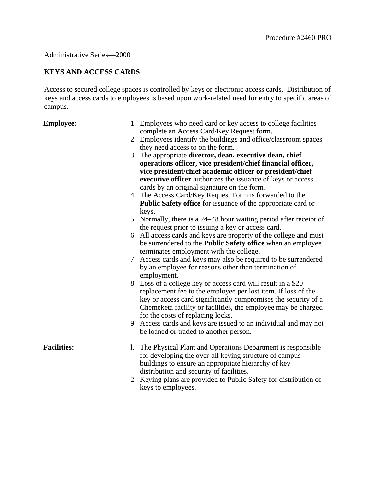## Administrative Series—2000

# **KEYS AND ACCESS CARDS**

Access to secured college spaces is controlled by keys or electronic access cards. Distribution of keys and access cards to employees is based upon work-related need for entry to specific areas of campus.

- **Employee:** 1. Employees who need card or key access to college facilities complete an Access Card/Key Request form.
	- 2. Employees identify the buildings and office/classroom spaces they need access to on the form.
	- 3. The appropriate **director, dean, executive dean, chief operations officer, vice president/chief financial officer, vice president/chief academic officer or president/chief executive officer** authorizes the issuance of keys or access cards by an original signature on the form.
	- 4. The Access Card/Key Request Form is forwarded to the **Public Safety office** for issuance of the appropriate card or keys.
	- 5. Normally, there is a 24–48 hour waiting period after receipt of the request prior to issuing a key or access card.
	- 6. All access cards and keys are property of the college and must be surrendered to the **Public Safety office** when an employee terminates employment with the college.
	- 7. Access cards and keys may also be required to be surrendered by an employee for reasons other than termination of employment.
	- 8. Loss of a college key or access card will result in a \$20 replacement fee to the employee per lost item. If loss of the key or access card significantly compromises the security of a Chemeketa facility or facilities, the employee may be charged for the costs of replacing locks.
	- 9. Access cards and keys are issued to an individual and may not be loaned or traded to another person.

- **Facilities:** 1. The Physical Plant and Operations Department is responsible for developing the over-all keying structure of campus buildings to ensure an appropriate hierarchy of key distribution and security of facilities.
	- 2. Keying plans are provided to Public Safety for distribution of keys to employees.